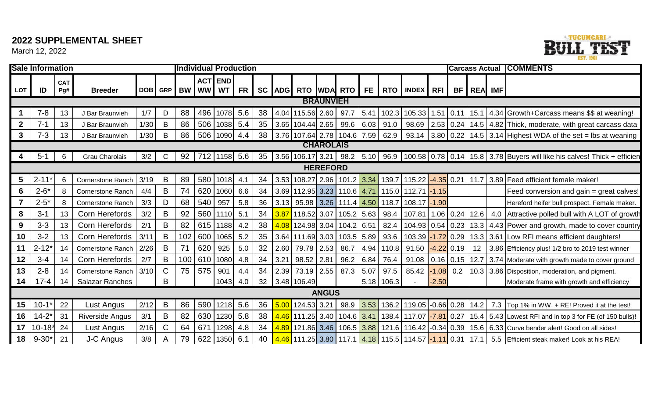# **2022 SUPPLEMENTAL SHEET**

March 12, 2022



|                  | <b>Sale Information</b><br><b>Individual Production</b> |                   |                          |      |              |            |      |                      |      |    |      |                              |                  |              |      | <b>Carcass Actual</b> |                                                     |              | <b>COMMENTS</b> |            |     |                                                                                                                              |
|------------------|---------------------------------------------------------|-------------------|--------------------------|------|--------------|------------|------|----------------------|------|----|------|------------------------------|------------------|--------------|------|-----------------------|-----------------------------------------------------|--------------|-----------------|------------|-----|------------------------------------------------------------------------------------------------------------------------------|
| <b>LOT</b>       | ID                                                      | <b>CAT</b><br>Pg# | <b>Breeder</b>           |      |              | DOB GRP BW | ww l | <b>ACT END</b><br>WT | FR   |    |      |                              |                  |              |      |                       | SC ADG RTO WDA RTO FE RTO INDEX RFI                 |              |                 | BF REA IMF |     |                                                                                                                              |
|                  |                                                         |                   |                          |      |              |            |      |                      |      |    |      |                              | <b>BRAUNVIEH</b> |              |      |                       |                                                     |              |                 |            |     |                                                                                                                              |
|                  | $7 - 8$                                                 | 13                | J Bar Braunvieh          | 1/7  | D            | 88         | 496  | 1078                 | 5.6  | 38 |      | 4.04 115.56 2.60             |                  | 97.7         | 5.41 | 102.3                 | 105.33                                              |              |                 |            |     | 1.51   0.11   15.1   4.34   Growth+Carcass means \$\$ at weaning!                                                            |
| $\boldsymbol{2}$ | $7 - 1$                                                 | 13                | J Bar Braunvieh          | 1/30 | B            | 86         | 506  | 1038 5.4             |      | 35 |      | 3.65   104.44   2.65         |                  | 99.6         | 6.03 | 91.0                  | 98.69                                               |              |                 |            |     | $2.53$ 0.24   14.5   4.82   Thick, moderate, with great carcass data                                                         |
| 3                | $7 - 3$                                                 | 13                | J Bar Braunvieh          | 1/30 | B            | 86         |      | 506   1090   4.4     |      | 38 |      |                              |                  |              |      |                       |                                                     |              |                 |            |     | 3.76   107.64   2.78   104.6   7.59   62.9   93.14   3.80   0.22   14.5   3.14  Highest WDA of the set = lbs at weaning      |
|                  |                                                         |                   |                          |      |              |            |      |                      |      |    |      |                              | <b>CHAROLAIS</b> |              |      |                       |                                                     |              |                 |            |     |                                                                                                                              |
| 4                | $5 - 1$                                                 | 6                 | <b>Grau Charolais</b>    | 3/2  | C            | 92         |      | 712   1158   5.6     |      | 35 |      |                              |                  |              |      |                       |                                                     |              |                 |            |     | 3.56   106.17   3.21   98.2   5.10   96.9   100.58   0.78   0.14   15.8   3.78 Buyers will like his calves! Thick + efficien |
|                  |                                                         |                   |                          |      |              |            |      |                      |      |    |      |                              | <b>HEREFORD</b>  |              |      |                       |                                                     |              |                 |            |     |                                                                                                                              |
| 5                | $2 - 11*$                                               | 6                 | Cornerstone Ranch        | 3/19 | B            | 89         | 580  | 1018                 | -4.1 | 34 |      |                              |                  |              |      |                       | 3.53 108.27 2.96 101.2 3.34 139.7 115.22            |              | $-4.35$ 0.21    |            |     | 11.7 3.89 Feed efficient female maker!                                                                                       |
| 6                | $2 - 6*$                                                | 8                 | <b>Cornerstone Ranch</b> | 4/4  | B            | 74         | 620  | 1060                 | 6.6  | 34 |      |                              |                  |              |      |                       | 3.69 112.95 3.23 110.6 4.71 115.0 112.71 -1.15      |              |                 |            |     | Feed conversion and gain = great calves!                                                                                     |
|                  | $2 - 5*$                                                | 8                 | <b>Cornerstone Ranch</b> | 3/3  | D            | 68         | 540  | 957                  | 5.8  | 36 |      |                              |                  |              |      |                       | 3.13 95.98 3.26 111.4 4.50 118.7 108.17 -1.90       |              |                 |            |     | Hereford heifer bull prospect. Female maker.                                                                                 |
| 8                | $3 - 1$                                                 | 13                | Corn Herefords           | 3/2  | B            | 92         | 560  | 1110                 | 5.1  | 34 | 3.87 | $118.52$ 3.07                |                  | $105.2$ 5.63 |      | 98.4                  | 107.81                                              |              | $1.06$ 0.24     | 12.6       | 4.0 | Attractive polled bull with A LOT of growth                                                                                  |
| 9                | $3 - 3$                                                 | 13                | Corn Herefords           | 2/1  | B            | 82         |      | 615   1188           | 4.2  | 38 |      | 4.08 124.98 3.04 104.2 6.51  |                  |              |      | 82.4                  |                                                     |              |                 |            |     | 104.93 0.54   0.23   13.3   4.43   Power and growth, made to cover country                                                   |
| 10               | $3 - 2$                                                 | 13                | Corn Herefords           | 3/11 | B            | 102        | 600  | 1065                 | 5.2  | 35 |      | 3.64 111.69 3.03             |                  | $103.5$ 5.89 |      | 93.6                  | 103.39                                              | $-1.72$ 0.29 |                 |            |     | 13.3 3.61 Low RFI means efficient daughters!                                                                                 |
| 11               | $2 - 12*$                                               | 14                | <b>Cornerstone Ranch</b> | 2/26 | B            | 71         | 620  | 925                  | 5.0  | 32 | 2.60 | 79.78 2.53                   |                  | 86.7         |      | 4.94 110.8            | 91.50                                               |              | $-4.22$ 0.19    | 12         |     | 3.86 Efficiency plus! 1/2 bro to 2019 test winner                                                                            |
| 12               | $3 - 4$                                                 | 14                | Corn Herefords           | 2/7  | B            | 100        | 610  | 1080                 | 4.8  | 34 | 3.21 | 98.52                        | 2.81             | 96.2         | 6.84 | 76.4                  | 91.08                                               |              | $0.16$ 0.15     |            |     | 12.7 3.74 Moderate with growth made to cover ground                                                                          |
| 13               | $2 - 8$                                                 | 14                | <b>Cornerstone Ranch</b> | 3/10 | $\mathsf{C}$ | 75         | 575  | 901                  | 4.4  | 34 | 2.39 | 73.19 2.55                   |                  | 87.3         | 5.07 | 97.5                  | 85.42                                               |              | $-1.08$ 0.2     |            |     | 10.3 3.86 Disposition, moderation, and pigment.                                                                              |
| 14               | $17 - 4$                                                | 14                | <b>Salazar Ranches</b>   |      | B            |            |      | 1043                 | 4.0  | 32 |      | 3.48 106.49                  |                  |              |      | $5.18$ 106.3          |                                                     | $-2.50$      |                 |            |     | Moderate frame with growth and efficiency                                                                                    |
|                  |                                                         |                   |                          |      |              |            |      |                      |      |    |      |                              | <b>ANGUS</b>     |              |      |                       |                                                     |              |                 |            |     |                                                                                                                              |
| 15               | $10 - 1*$                                               | 22                | Lust Angus               | 2/12 | B            | 86         | 590  | $1218$ 5.6           |      | 36 |      | $\frac{5.00}{2}$ 124.53 3.21 |                  |              |      |                       |                                                     |              |                 |            |     | 98.9 3.53 136.2 119.05 -0.66 0.28 14.2 7.3 Top 1% in WW, + RE! Proved it at the test!                                        |
| 16               | $14 - 2*$                                               | 31                | <b>Riverside Angus</b>   | 3/1  | B            | 82         | 630  | $1230$ 5.8           |      | 38 |      |                              |                  |              |      |                       | 4.46 111.25 3.40 104.6 3.41 138.4 117.07 -7.81 0.27 |              |                 |            |     | 15.4 5.43 Lowest RFI and in top 3 for FE (of 150 bulls)!                                                                     |
| 17               | $10 - 18^*$                                             | 24                | Lust Angus               | 2/16 | $\mathsf{C}$ | 64         | 671  | 1298                 | 4.8  | 34 |      |                              |                  |              |      |                       |                                                     |              |                 |            |     | 4.89 121.86 3.46 106.5 3.88 121.6 116.42 -0.34 0.39 15.6 6.33 Curve bender alert! Good on all sides!                         |
| 18               | $9 - 30*$                                               | 21                | J-C Angus                | 3/8  | $\mathsf{A}$ | 79         | 622  | 1350 6.1             |      | 40 |      |                              |                  |              |      |                       |                                                     |              |                 |            |     | 4.46 111.25 3.80 117.1 4.18 115.5 114.57 -1.11 0.31 17.1 5.5 Efficient steak maker! Look at his REA!                         |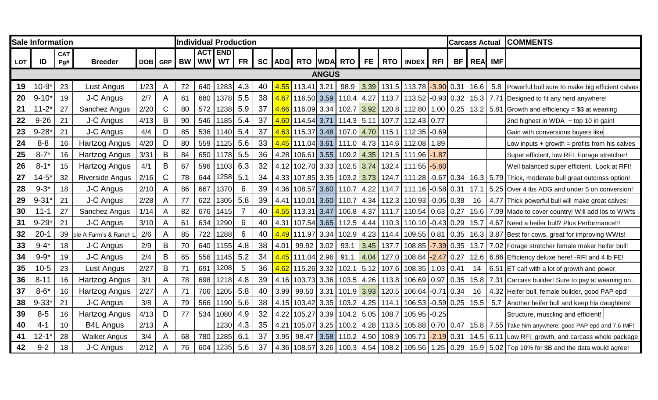|            | <b>Sale Information</b> |                   |                        |      |                | <b>Individual Production</b><br>ACT END |     |          |           |    |      |                                   |              |              |      |       |                                                                                        |             |    | <b>Carcass Actual</b> |     | <b>COMMENTS</b>                                                                                        |
|------------|-------------------------|-------------------|------------------------|------|----------------|-----------------------------------------|-----|----------|-----------|----|------|-----------------------------------|--------------|--------------|------|-------|----------------------------------------------------------------------------------------|-------------|----|-----------------------|-----|--------------------------------------------------------------------------------------------------------|
| <b>LOT</b> | ID                      | <b>CAT</b><br>Pg# | <b>Breeder</b>         |      | DOB GRP        |                                         |     | BW WW WT | <b>FR</b> |    |      |                                   |              |              |      |       | SC ADG RTO WDA RTO FE RTO INDEX RFI                                                    |             | BF | REA IMF               |     |                                                                                                        |
|            |                         |                   |                        |      |                |                                         |     |          |           |    |      |                                   |              |              |      |       |                                                                                        |             |    |                       |     |                                                                                                        |
|            |                         |                   |                        |      |                |                                         |     |          |           |    |      |                                   | <b>ANGUS</b> |              |      |       |                                                                                        |             |    |                       |     |                                                                                                        |
| 19         | $10 - 9*$               | 23                | Lust Angus             | 1/23 | A              | 72                                      | 640 | 1283     | 4.3       | 40 |      | <mark>4.55  </mark> 113.41   3.21 |              | 98.9         |      |       | 3.39 131.5 113.78 3.90 0.31                                                            |             |    | 16.6                  | 5.8 | Powerful bull sure to make big efficient calves                                                        |
| 20         | $9 - 10'$               | 19                | J-C Angus              | 2/7  | $\overline{A}$ | 61                                      | 680 | 1378     | 5.5       | 38 |      | <mark>4.67  </mark> 116.50   3.59 |              | 110.4        | 4.27 | 113.7 | $113.52$ -0.93 0.32                                                                    |             |    | $15.3$ 7.71           |     | Designed to fit any herd anywhere!                                                                     |
| 21         | $11 - 2*$               | 27                | Sanchez Angus          | 2/20 | C              | 80                                      | 572 | 1238     | 5.9       | 37 |      |                                   |              |              |      |       |                                                                                        |             |    |                       |     | 120.8   112.80   1.00   0.25   13.2   5.81 Growth and efficiency = \$\$ at weaning                     |
| 22         | $9 - 26$                | 21                | J-C Angus              | 4/13 | B              | 90                                      | 546 | 1185     | 5.4       | 37 |      | <mark>4.60  </mark> 114.54   3.71 |              | $114.3$ 5.11 |      | 107.7 | $112.43$ 0.77                                                                          |             |    |                       |     | 2nd highest in WDA + top 10 in gain!                                                                   |
| 23         | $9 - 28'$               | 21                | J-C Angus              | 4/4  | D              | 85                                      | 536 | 1140     | 5.4       | 37 |      |                                   |              |              |      |       | <mark>4.63  </mark> 115.37   3.48   107.0   <mark>4.70  </mark> 115.1   112.35   -0.69 |             |    |                       |     | Gain with conversions buyers like                                                                      |
| 24         | $8 - 8$                 | 16                | Hartzog Angus          | 4/20 | D              | 80                                      | 559 | 1125     | 5.6       | 33 |      | <mark>4.45</mark> 111.04 3.61 I   |              |              |      |       | 111.0 4.73 114.6 112.08                                                                | 1.89        |    |                       |     | Low inputs $+$ growth = profits from his calves                                                        |
| 25         | $8 - 7*$                | 16                | <b>Hartzog Angus</b>   | 3/31 | B              | 84                                      | 650 | 1178     | 5.5       | 36 |      | 4.28 106.61                       | 3.55         | 109.2        | 4.35 |       | 121.5 111.96 -1.87                                                                     |             |    |                       |     | Super efficient, low RFI. Forage stretcher!                                                            |
| 26         | $8 - 1*$                | 15                | Hartzog Angus          | 4/1  | B              | 67                                      | 596 | 1103     | 6.3       | 32 |      |                                   |              |              |      |       | 4.12 102.70 3.33 102.5 3.74 132.4 111.55 -5.60                                         |             |    |                       |     | Well balanced super efficient. Look at RFI!                                                            |
| 27         | $14 - 5*$               | 32                | <b>Riverside Angus</b> | 2/16 | $\mathsf C$    | 78                                      | 644 | 1258     | 5.1       | 34 |      | 4.33 107.85 3.35 103.2 3.73       |              |              |      |       |                                                                                        |             |    |                       |     | 124.7   111.28   -0.67   0.34   16.3   5.79   Thick, moderate bull great outcross option!              |
| 28         | $9 - 3*$                | 18                | J-C Angus              | 2/10 | A              | 86                                      | 667 | 1370     | 6         | 39 | 4.36 | 108.57 3.60 110.7                 |              |              | 4.22 | 114.7 | 111.16 -0.58 0.31                                                                      |             |    |                       |     | 17.1 5.25 Over 4 lbs ADG and under 5 on conversion!                                                    |
| 29         | $9 - 31$                | 21                | J-C Angus              | 2/28 | $\overline{A}$ | 77                                      | 622 | 1305     | 5.8       | 39 |      |                                   |              |              |      |       | 4.41   110.01   3.60   110.7   4.34   112.3   110.93   -0.05   0.38                    |             |    | 16                    |     | 4.77 Thick powerful bull will make great calves!                                                       |
| 30         | $11 - 1$                | 27                | Sanchez Angus          | 1/14 | A              | 82                                      | 676 | 1415     |           | 40 |      | 4.55 113.31 3.47                  |              |              |      |       | 106.8 4.37 111.7 110.54 0.63 0.27                                                      |             |    |                       |     | 15.6 7.09 Made to cover country! Will add lbs to WWts                                                  |
| 31         | $9 - 29$                | 21                | J-C Angus              | 3/10 | $\mathsf{A}$   | 61                                      | 634 | 1290     | 6         | 40 |      |                                   |              |              |      |       | 4.31   107.54   3.65   112.5   4.44   110.3   110.10   -0.43   0.29                    |             |    |                       |     | 15.7 4.67 Need a heifer bull? Plus Performance!!!                                                      |
| 32         | $20 - 1$                | 39                | ple A Farm's & Ranch L | 2/6  | A              | 85                                      | 722 | 1288     | 6         | 40 |      | <mark>4.49  </mark> 111.97   3.34 |              |              |      |       |                                                                                        |             |    |                       |     | 102.9 4.23 114.4 109.55 0.81 0.35 16.3 3.87 Best for cows, great for improving WWts!                   |
| 33         | $9 - 4*$                | 18                | J-C Angus              | 2/9  | B              | 70                                      | 640 | 1155     | 4.8       | 38 | 4.01 | 99.92                             | 3.02         | 93.1         | 3.45 | 137.7 | 108.85 -7.39 0.35                                                                      |             |    |                       |     | 13.7 7.02 Forage stretcher female maker heifer bull!                                                   |
| 34         | $9 - 9*$                | 19                | J-C Angus              | 2/4  | $\sf B$        | 65                                      | 556 | 1145     | 5.2       | 34 |      | <mark>4.45  </mark> 111.04   2.96 |              | 91.1         | 4.04 | 127.0 | $108.84 - 2.47 0.27$                                                                   |             |    | 12.6                  |     | 6.86 Efficiency deluxe here! -RFI and 4 lb FE!                                                         |
| 35         | $10-5$                  | 23                | Lust Angus             | 2/27 | $\mathsf B$    | 71                                      | 691 | 1208     | 5         | 36 |      | <mark>4.62 115.26</mark> 3.32     |              | 102.1        |      |       | $\vert$ 5.12   107.6   108.35   1.03   0.41                                            |             |    | 14                    |     | 6.51 ET calf with a lot of growth and power.                                                           |
| 36         | $8 - 11$                | 16                | <b>Hartzog Angus</b>   | 3/1  | A              | 78                                      | 698 | 1218     | 4.8       | 39 |      | 4.16 103.73 3.36                  |              | $103.5$ 4.26 |      |       | 113.8 106.69 0.97 0.35                                                                 |             |    | 15.8                  |     | 7.31 Carcass builder! Sure to pay at weaning on                                                        |
| 37         | $8 - 6*$                | 16                | Hartzog Angus          | 2/27 | A              | 71                                      | 706 | 1205     | 5.8       | 40 | 3.99 | $99.50$ 3.31                      |              |              |      |       | 101.9 3.93 120.5 106.64 -0.71 0.34                                                     |             |    | 16                    |     | 4.32 Heifer bull, female builder, good PAP epd!                                                        |
| 38         | $9 - 33'$               | 21                | J-C Angus              | 3/8  | A              | 79                                      | 566 | 1190     | 5.6       | 38 | 4.15 | 103.42 3.35                       |              | 103.2        | 4.25 | 114.1 | 106.53 -0.59 0.25 15.5                                                                 |             |    |                       | 5.7 | Another heifer bull and keep his daughters!                                                            |
| 39         | $8-5$                   | 16                | Hartzog Angus          | 4/13 | D              | 77                                      | 534 | 1080     | 4.9       | 32 | 4.22 | 105.27                            | 3.39         | 104.2        | 5.05 | 108.7 | 105.95                                                                                 | $-0.25$     |    |                       |     | Structure, muscling and efficient!                                                                     |
| 40         | $4 - 1$                 | 10                | <b>B4L Angus</b>       | 2/13 | A              |                                         |     | 1230     | 4.3       | 35 | 4.21 | 105.07                            | 3.25         | 100.2        | 4.28 |       | 113.5 105.88                                                                           | $0.70$ 0.47 |    |                       |     | 15.8 7.55 Take him anywhere; good PAP epd and 7.6 IMF!                                                 |
| 41         | $12 - 1$                | 28                | <b>Walker Angus</b>    | 3/4  | A              | 68                                      | 780 | 1285     | 6.1       | 37 | 3.95 |                                   |              |              |      |       |                                                                                        |             |    |                       |     | 98.47 3.58 110.2 4.50 108.9 105.71 -2.19 0.31 14.5 6.11 Low RFI, growth, and carcass whole package     |
| 42         | $9 - 2$                 | 18                | J-C Angus              | 2/12 | A              | 76                                      | 604 | 1235     | 5.6       | 37 |      |                                   |              |              |      |       |                                                                                        |             |    |                       |     | 4.36 108.57 3.26 100.3 4.54 108.2 105.56 1.25 0.29 15.9 5.02 Top 10% for \$B and the data would agree! |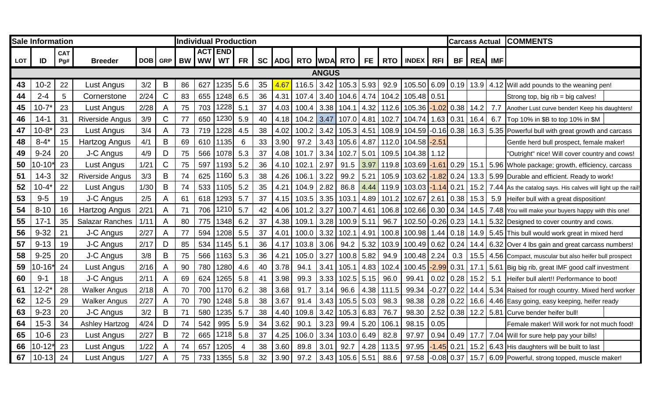|            | <b>Sale Information</b> |                   |                        |      |                | <b>Individual Production</b><br><b>ACT END</b> |          |      |                |    |        |       |              |              |      |       |                              |                  |              |         |     | <b>Carcass Actual COMMENTS</b>                               |  |
|------------|-------------------------|-------------------|------------------------|------|----------------|------------------------------------------------|----------|------|----------------|----|--------|-------|--------------|--------------|------|-------|------------------------------|------------------|--------------|---------|-----|--------------------------------------------------------------|--|
| <b>LOT</b> | ID                      | <b>CAT</b><br>Pg# | <b>Breeder</b>         |      | DOB GRP        |                                                | BW WW WT |      | <b>FR</b>      |    | SC ADG |       |              |              |      |       | RTO WDA RTO FE RTO INDEX RFI |                  | <b>BF</b>    | REA IMF |     |                                                              |  |
|            |                         |                   |                        |      |                |                                                |          |      |                |    |        |       | <b>ANGUS</b> |              |      |       |                              |                  |              |         |     |                                                              |  |
|            |                         |                   |                        |      |                |                                                |          |      |                |    |        |       |              |              |      |       |                              |                  |              |         |     |                                                              |  |
| 43         | $10 - 2$                | 22                | Lust Angus             | 3/2  | B              | 86                                             | 627      | 1235 | 5.6            | 35 | 4.67   | 116.5 | 3.42         | $105.3$ 5.93 |      | 92.9  | 105.50 6.09 0.19             |                  |              |         |     | 13.9 4.12 Will add pounds to the weaning pen!                |  |
| 44         | $2 - 4$                 | 5                 | Cornerstone            | 2/24 | $\mathsf C$    | 83                                             | 655      | 1248 | 6.5            | 36 | 4.31   | 107.4 | 3.40         | $104.6$ 4.74 |      |       | 104.2 105.48 0.51            |                  |              |         |     | Strong top, big rib = big calves!                            |  |
| 45         | $10 - 7*$               | 23                | Lust Angus             | 2/28 | A              | 75                                             | 703      | 1228 | 5.1            | 37 | 4.03   | 100.4 | 3.38         | 104.1        | 4.32 | 112.6 | $105.36 - 1.02 0.38$         |                  |              | 14.2    | 7.7 | Another Lust curve bender! Keep his daughters!               |  |
| 46         | 14-1                    | 31                | <b>Riverside Angus</b> | 3/9  | C              | 77                                             | 650      | 1230 | 5.9            | 40 | 4.18   | 104.2 | 3.47         | 107.0        | 4.81 | 102.7 | 104.74                       | 1.63   0.31      |              | 16.4    | 6.7 | Top 10% in \$B to top 10% in \$M                             |  |
| 47         | $10-8$                  | 23                | Lust Angus             | 3/4  | A              | 73                                             | 719      | 1228 | 4.5            | 38 | 4.02   | 100.2 | 3.42         | 105.3        | 4.51 | 108.9 | 104.59 -0.16 0.38            |                  |              | 16.3    |     | 5.35 Powerful bull with great growth and carcass             |  |
| 48         | $8 - 4'$                | 15                | Hartzog Angus          | 4/1  | B              | 69                                             | 610      | 1135 | 6              | 33 | 3.90   | 97.2  | 3.43         | 105.6        | 4.87 | 112.0 | 104.58 -2.51                 |                  |              |         |     | Gentle herd bull prospect, female maker!                     |  |
| 49         | $9 - 24$                | 20                | J-C Angus              | 4/9  | D              | 75                                             | 566      | 1078 | 5.3            | 37 | 4.08   | 101.7 | 3.34         | 102.7        | 5.01 |       | 109.5 104.38                 | 1.12             |              |         |     | 'Outright" nice! Will cover country and cows!                |  |
| 50         | $0 - 10$                | 23                | Lust Angus             | 1/21 | $\mathsf{C}$   | 75                                             | 597      | 1193 | 5.2            | 36 | 4.10   | 102.1 | 2.97         | 91.5         | 3.97 | 119.8 | $103.69 - 1.61 0.29$         |                  |              |         |     | 15.1 5.96 Whole package; growth, efficiency, carcass         |  |
| 51         | $14-3$                  | 32                | <b>Riverside Angus</b> | 3/3  | B              | 74                                             | 625      | 1160 | 5.3            | 38 | 4.26   | 106.1 | 3.22         | 99.2         | 5.21 | 105.9 | $103.62 - 1.82 0.24$         |                  |              |         |     | 13.3 5.99 Durable and efficient. Ready to work!              |  |
| 52         | $10 - 4$                | 22                | Lust Angus             | 1/30 | B              | 74                                             | 533      | 1105 | 5.2            | 35 | 4.21   | 104.9 | 2.82         | 86.8         | 4.44 | 119.9 | 103.03 - 1.14 0.21           |                  |              | 15.2    |     | 7.44 As the catalog says. His calves will light up the rail! |  |
| 53         | $9-5$                   | 19                | J-C Angus              | 2/5  | A              | 61                                             | 618      | 1293 | 5.7            | 37 | 4.15   | 103.5 | 3.35         | 103.1        | 4.89 | 101.2 | 102.67                       | $2.61$ 0.38      |              | 15.3    | 5.9 | Heifer bull with a great disposition!                        |  |
| 54         | $8 - 10$                | 16                | Hartzog Angus          | 2/21 | A              | 71                                             | 706      | 1210 | 5.7            | 42 | 4.06   | 101.2 | 3.27         | 100.7        | 4.61 | 106.8 | 102.66 0.30 0.34             |                  |              |         |     | 14.5   7.48   You will make your buyers happy with this one! |  |
| 55         | $17 - 1$                | 35                | <b>Salazar Ranches</b> | 1/11 | A              | 80                                             | 775      | 1348 | 6.2            | 37 | 4.38   | 109.1 | 3.28         | 100.9        | 5.11 | 96.7  | $102.50$ -0.26 0.23          |                  |              |         |     | 14.1   5.32 Designed to cover country and cows.              |  |
| 56         | $9 - 32$                | 21                | J-C Angus              | 2/27 | $\overline{A}$ | 77                                             | 594      | 1208 | 5.5            | 37 | 4.01   | 100.0 | 3.32         | 102.1        | 4.91 | 100.8 | 100.98 1.44 0.18             |                  |              |         |     | 14.9 5.45 This bull would work great in mixed herd           |  |
| 57         | $9 - 13$                | 19                | J-C Angus              | 2/17 | D              | 85                                             | 534      | 1145 | 5.1            | 36 | 4.17   | 103.8 | 3.06         | 94.2         | 5.32 | 103.9 | 100.49 0.62 0.24             |                  |              | 14.4    |     | 6.32 Over 4 lbs gain and great carcass numbers!              |  |
| 58         | $9 - 25$                | 20                | J-C Angus              | 3/8  | B              | 75                                             | 566      | 1163 | 5.3            | 36 | 4.21   | 105.0 | 3.27         | 100.8        | 5.82 | 94.9  | 100.48 2.24                  |                  | 0.3          |         |     | 15.5 4.56 Compact, muscular but also heifer bull prospect    |  |
| 59         | $0 - 16$                | 24                | Lust Angus             | 2/16 | A              | 90                                             | 780      | 1280 | 4.6            | 40 | 3.78   | 94.1  | 3.41         | 105.1        | 4.83 | 102.4 | 100.45                       | $-2.99$ 0.31     |              | 17.1    |     | 5.61 Big big rib, great IMF good calf investment             |  |
| 60         | $9 - 1$                 | 18                | J-C Angus              | 2/11 | A              | 69                                             | 624      | 1265 | 5.8            | 41 | 3.98   | 99.3  | 3.33         | 102.5        | 5.15 | 96.0  | 99.41                        | 0.02             | $\big  0.28$ | 15.2    | 5.1 | Heifer bull alert!! Performance to boot!                     |  |
| 61         | $12 - 2^{\circ}$        | 28                | <b>Walker Angus</b>    | 2/18 | A              | 70                                             | 700      | 1170 | 6.2            | 38 | 3.68   | 91.7  | 3.14         | 96.6         | 4.38 | 111.5 | 99.34                        | $-0.27$ 0.22     |              | 14.4    |     | 5.34 Raised for rough country. Mixed herd worker             |  |
| 62         | $12 - 5$                | 29                | <b>Walker Angus</b>    | 2/27 | A              | 70                                             | 790      | 1248 | 5.8            | 38 | 3.67   | 91.4  | 3.43         | 105.5        | 5.03 | 98.3  | 98.38                        | $0.28$ 0.22      |              | 16.6    |     | 4.46 Easy going, easy keeping, heifer ready                  |  |
| 63         | $9 - 23$                | 20                | J-C Angus              | 3/2  | B              | 71                                             | 580      | 1235 | 5.7            | 38 | 4.40   | 109.8 | 3.42         | 105.3        | 6.83 | 76.7  | 98.30                        |                  | 2.52   0.38  | 12.2    |     | 5.81 Curve bender heifer bull!                               |  |
| 64         | $15 - 3$                | 34                | <b>Ashley Hartzog</b>  | 4/24 | D              | 74                                             | 542      | 995  | 5.9            | 34 | 3.62   | 90.1  | 3.23         | 99.4         | 5.20 | 106.1 | 98.15                        | 0.05             |              |         |     | Female maker! Will work for not much food!                   |  |
| 65         | $10 - 6$                | 23                | Lust Angus             | 2/27 | B              | 72                                             | 665      | 1218 | 5.8            | 37 | 4.25   | 106.0 | 3.34         | 103.0        | 6.49 | 82.8  | 97.97                        | $0.94 \mid 0.49$ |              | 17.7    |     | 7.04 Will for sure help pay your bills!                      |  |
| 66         | $0 - 12$                | 23                | Lust Angus             | 1/22 | A              | 74                                             | 657      | 1205 | $\overline{4}$ | 38 | 3.60   | 89.8  | 3.01         | 92.7         | 4.28 | 113.5 | 97.95                        |                  | $-1.45$ 0.21 |         |     | 15.2 6.43 His daughters will be built to last                |  |
| 67         | $10 - 13$               | 24                | Lust Angus             | 1/27 | A              | 75                                             | 733      | 1355 | 5.8            | 32 | 3.90   | 97.2  | 3.43         | $105.6$ 5.51 |      | 88.6  | 97.58                        |                  | $-0.08$ 0.37 | 15.7    |     | 6.09 Powerful, strong topped, muscle maker!                  |  |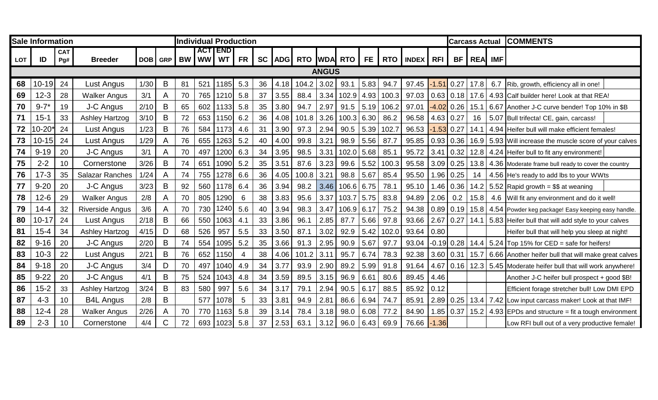|            | <b>Sale Information</b> |                   |                        |      |             | <b>Individual Production</b><br><b>ACTIEND</b> |          |      |           |    |      |                       |              |              |      |                  |                 |                  | <b>Carcass Actual</b> |             |     | <b>COMMENTS</b>                                                |  |
|------------|-------------------------|-------------------|------------------------|------|-------------|------------------------------------------------|----------|------|-----------|----|------|-----------------------|--------------|--------------|------|------------------|-----------------|------------------|-----------------------|-------------|-----|----------------------------------------------------------------|--|
| <b>LOT</b> | ID                      | <b>CAT</b><br>Pg# | <b>Breeder</b>         | DOB  | GRP         |                                                | BW WW WT |      | <b>FR</b> |    |      | SC ADG RTO WDA RTO FE |              |              |      |                  | <b>RTO MDEX</b> | <b>RFI</b>       | BF                    | REA IMF     |     |                                                                |  |
|            |                         |                   |                        |      |             |                                                |          |      |           |    |      |                       | <b>ANGUS</b> |              |      |                  |                 |                  |                       |             |     |                                                                |  |
|            |                         |                   |                        |      |             |                                                |          |      |           |    |      |                       |              |              |      |                  |                 |                  |                       |             |     |                                                                |  |
| 68         | $10 - 19$               | 24                | Lust Angus             | 1/30 | B           | 81                                             | 521      | 1185 | 5.3       | 36 | 4.18 | 104.2                 | 3.02         | 93.1         | 5.83 | 94.7             | 97.45           | $-1.51$ 0.27     |                       | 17.8        |     | 6.7 Rib, growth, efficiency all in one!                        |  |
| 69         | $12 - 3$                | 28                | <b>Walker Angus</b>    | 3/1  | A           | 70                                             | 765      | 1210 | 5.8       | 37 | 3.55 | 88.4                  | 3.34         |              |      | 102.9 4.93 100.3 | 97.03           |                  |                       |             |     | 0.63   0.18   17.6   4.93 Calf builder here! Look at that REA! |  |
| 70         | $9 - 7*$                | 19                | J-C Angus              | 2/10 | $\mathsf B$ | 65                                             | 602      | 1133 | 5.8       | 35 | 3.80 | 94.7                  | 2.97         | 91.5         |      | $5.19$ 106.2     | 97.01           |                  | $-4.02$ 0.26          |             |     | 15.1   6.67 Another J-C curve bender! Top 10% in \$B           |  |
| 71         | $15 - 1$                | 33                | <b>Ashley Hartzog</b>  | 3/10 | B           | 72                                             | 653      | 1150 | 6.2       | 36 | 4.08 | 101.8                 | 3.26         | $100.3$ 6.30 |      | 86.2             | 96.58           | $4.63 \mid 0.27$ |                       |             |     | 16   5.07   Bull trifecta! CE, gain, carcass!                  |  |
| 72         | $0 - 20$                | 24                | Lust Angus             | 1/23 | B           | 76                                             | 584      | 1173 | 4.6       | 31 | 3.90 | 97.3                  | 2.94         | 90.5         | 5.39 | 102.7            | 96.53           | $-1.53$ 0.27     |                       |             |     | 14.1 4.94 Heifer bull will make efficient females!             |  |
| 73         | $10 - 15$               | 24                | Lust Angus             | 1/29 | A           | 76                                             | 655      | 1263 | 5.2       | 40 | 4.00 | 99.8                  | 3.21         | 98.9         | 5.56 | 87.7             | 95.85           | 0.93   0.36      |                       |             |     | 16.9 5.93 Will increase the muscle score of your calves        |  |
| 74         | $9 - 19$                | 20                | J-C Angus              | 3/1  | A           | 70                                             | 497      | 1200 | 6.3       | 34 | 3.95 | 98.5                  | 3.31         | 102.0        | 5.68 | 85.1             | 95.72           | 3.41             | 0.32                  |             |     | 12.8 4.24 Heifer bull to fit any environment!                  |  |
| 75         | $2 - 2$                 | 10                | Cornerstone            | 3/26 | $\mathsf B$ | 74                                             | 651      | 1090 | 5.2       | 35 | 3.51 | 87.6                  | 3.23         | 99.6         | 5.52 | 100.3            | 95.58           | $3.09$ 0.25      |                       |             |     | 13.8 4.36 Moderate frame bull ready to cover the country       |  |
| 76         | $17 - 3$                | 35                | <b>Salazar Ranches</b> | 1/24 | A           | 74                                             | 755      | 1278 | 6.6       | 36 | 4.05 | 100.8                 | 3.21         | 98.8         | 5.67 | 85.4             | 95.50           | $1.96$ 0.25      |                       | 14          |     | 4.56 He's ready to add lbs to your WWts                        |  |
| 77         | $9 - 20$                | 20                | J-C Angus              | 3/23 | B           | 92                                             | 560      | 1178 | 6.4       | 36 | 3.94 | 98.2                  | 3.46         | $106.6$ 6.75 |      | 78.1             | 95.10           | $1.46$ 0.36      |                       |             |     | 14.2 5.52 Rapid growth = \$\$ at weaning                       |  |
| 78         | $12-6$                  | 29                | <b>Walker Angus</b>    | 2/8  | A           | 70                                             | 805      | 1290 | 6         | 38 | 3.83 | 95.6                  | 3.37         | $103.7$ 5.75 |      | 83.8             | 94.89           | 2.06             | 0.2                   | 15.8        | 4.6 | Will fit any environment and do it well!                       |  |
| 79         | $14 - 4$                | 32                | Riverside Angus        | 3/6  | A           | 70                                             | 730      | 1240 | 5.6       | 40 | 3.94 | 98.3                  | 3.47         | $106.9$ 6.17 |      | 75.2             | 94.38           | $0.89$ 0.19      |                       |             |     | 15.8 4.54 Powder keg package! Easy keeping easy handle.        |  |
| 80         | $10 - 17$               | 24                | Lust Angus             | 2/18 | $\sf B$     | 66                                             | 550      | 1063 | 4.1       | 33 | 3.86 | 96.1                  | 2.85         | 87.7         | 5.66 | 97.8             | 93.66           | $2.67$ 0.27      |                       |             |     | 14.1 5.83 Heifer bull that will add style to your calves       |  |
| 81         | $15 - 4$                | 34                | <b>Ashley Hartzog</b>  | 4/15 | D           | 68                                             | 526      | 957  | 5.5       | 33 | 3.50 | 87.1                  | 3.02         | 92.9         | 5.42 | 102.0            | 93.64           | 0.80             |                       |             |     | Heifer bull that will help you sleep at night!                 |  |
| 82         | $9 - 16$                | 20                | J-C Angus              | 2/20 | B           | 74                                             | 554      | 1095 | 5.2       | 35 | 3.66 | 91.3                  | 2.95         | 90.9         | 5.67 | 97.7             | 93.04           | $-0.19$ 0.28     |                       |             |     | 14.4 $\vert$ 5.24 $\vert$ Top 15% for CED = safe for heifers!  |  |
| 83         | $10-3$                  | 22                | Lust Angus             | 2/21 | B           | 76                                             | 652      | 1150 |           | 38 | 4.06 | 101.2                 | 3.11         | 95.7         | 6.74 | 78.3             | 92.38           | 3.60   0.31      |                       | 15.7        |     | 6.66 Another heifer bull that will make great calves           |  |
| 84         | $9 - 18$                | 20                | J-C Angus              | 3/4  | D           | 70                                             | 497      | 1040 | 4.9       | 34 | 3.77 | 93.9                  | 2.90         | 89.2         | 5.99 | 91.8             | 91.64           |                  | $4.67$ 0.16           |             |     | 12.3 5.45 Moderate heifer bull that will work anywhere!        |  |
| 85         | $9 - 22$                | 20                | J-C Angus              | 4/1  | $\sf B$     | 75                                             | 524      | 1043 | 4.8       | 34 | 3.59 | 89.5                  | 3.15         | 96.9         | 6.61 | 80.6             | 89.45           | 4.46             |                       |             |     | Another J-C heifer bull prospect + good \$B!                   |  |
| 86         | $15 - 2$                | 33                | <b>Ashley Hartzog</b>  | 3/24 | B           | 83                                             | 580      | 997  | 5.6       | 34 | 3.17 | 79.1                  | 2.94         | 90.5         | 6.17 | 88.5             | 85.92           | 0.12             |                       |             |     | Efficient forage stretcher bull! Low DMI EPD                   |  |
| 87         | $4 - 3$                 | 10                | <b>B4L Angus</b>       | 2/8  | B           |                                                | 577      | 1078 | 5         | 33 | 3.81 | 94.9                  | 2.81         | 86.6         | 6.94 | 74.7             | 85.91           |                  | $2.89$ 0.25           | $13.4$ 7.42 |     | Low input carcass maker! Look at that IMF!                     |  |
| 88         | $12 - 4$                | 28                | <b>Walker Angus</b>    | 2/26 | A           | 70                                             | 770      | 1163 | 5.8       | 39 | 3.14 | 78.4                  | 3.18         | 98.0         | 6.08 | 77.2             | 84.90           | $1.85$ 0.37      |                       |             |     | 15.2 $\mid$ 4.93 EPDs and structure = fit a tough environment  |  |
| 89         | $2 - 3$                 | 10                | Cornerstone            | 4/4  | $\mathsf C$ | 72                                             | 693      | 1023 | 5.8       | 37 | 2.53 | 63.1                  | 3.12         | 96.0         | 6.43 | 69.9             | 76.66           | $-1.36$          |                       |             |     | Low RFI bull out of a very productive female!                  |  |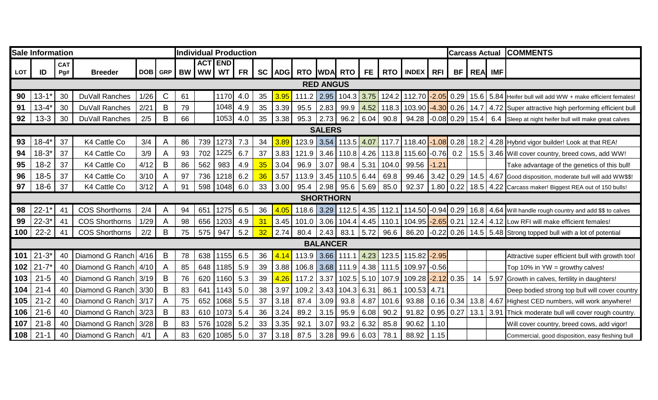|            | <b>Sale Information</b> |                   |                       |      |                         | <b>Individual Production</b><br><b>ACT END</b> |               |      |           |                 |            |       |                  |                |      |       |                               |                  | <b>Carcass Actual</b> |         |      | <b>COMMENTS</b>                                            |
|------------|-------------------------|-------------------|-----------------------|------|-------------------------|------------------------------------------------|---------------|------|-----------|-----------------|------------|-------|------------------|----------------|------|-------|-------------------------------|------------------|-----------------------|---------|------|------------------------------------------------------------|
| <b>LOT</b> | ID                      | <b>CAT</b><br>Pg# | <b>Breeder</b>        |      |                         |                                                | DOB GRP BW WW | WT   | <b>FR</b> | SC <sub>1</sub> | <b>ADG</b> |       |                  | RTO WDA RTO FE |      |       | RTO MDEX RFI                  |                  | BF                    | REA IMF |      |                                                            |
|            |                         |                   |                       |      |                         |                                                |               |      |           |                 |            |       | <b>RED ANGUS</b> |                |      |       |                               |                  |                       |         |      |                                                            |
|            |                         |                   |                       |      |                         |                                                |               |      |           |                 |            |       |                  |                |      |       |                               |                  |                       |         |      |                                                            |
| 90         | $13 - 1'$               | 30                | <b>DuVall Ranches</b> | 1/26 | $\mathsf{C}$            | 61                                             |               | 1170 | 4.0       | 35              | 3.95       | 111.2 | 2.95             | 104.3          | 3.75 |       | 124.2 112.70 - 2.05 0.29      |                  |                       | 15.6    |      | 5.84 Heifer bull will add WW + make efficient females!     |
| 91         | $13 - 4*$               | 30                | <b>DuVall Ranches</b> | 2/21 | B                       | 79                                             |               | 1048 | 4.9       | 35              | 3.39       | 95.5  | 2.83             | 99.9           | 4.52 |       | 118.3 103.90 -4.30 0.26       |                  |                       |         |      | 14.7 4.72 Super attractive high performing efficient bull  |
| 92         | $13 - 3$                | 30                | DuVall Ranches        | 2/5  | $\mathsf B$             | 66                                             |               | 1053 | 4.0       | 35              | 3.38       | 95.3  | 2.73             | 96.2   6.04    |      | 90.8  | $94.28$ -0.08 0.29            |                  |                       | 15.4    | 6.4  | Sleep at night heifer bull will make great calves          |
|            |                         |                   |                       |      |                         |                                                |               |      |           |                 |            |       | <b>SALERS</b>    |                |      |       |                               |                  |                       |         |      |                                                            |
| 93         | $18 - 4'$               | 37                | K4 Cattle Co          | 3/4  | A                       | 86                                             | 739           | 1273 | 7.3       | 34              | 3.89       | 123.9 | $3.54$           | $113.5$ 4.07   |      |       | 117.7 118.40 - 1.08 0.28      |                  |                       | 18.2    |      | 4.28 Hybrid vigor builder! Look at that REA!               |
| 94         | $18 - 3*$               | 37                | K4 Cattle Co          | 3/9  | A                       | 93                                             | 702           | 1225 | 6.7       | 37              | 3.83       | 121.9 | 3.46             | 110.8          | 4.26 |       | 113.8 115.60 - 0.76 0.2       |                  |                       |         |      | 15.5 3.46 Will cover country, breed cows, add WW!          |
| 95         | $18 - 2$                | 37                | K4 Cattle Co          | 4/12 | B                       | 86                                             | 562           | 983  | 4.9       | 35              | 3.04       | 96.9  | 3.07             | 98.4           | 5.31 | 104.0 | 99.56                         | $-1.21$          |                       |         |      | Take advantage of the genetics of this bull!               |
| 96         | $18 - 5$                | 37                | K4 Cattle Co          | 3/10 | A                       | 97                                             | 736           | 1218 | 6.2       | 36              | 3.57       | 113.9 | 3.45             | 110.5          | 6.44 | 69.8  | 99.46                         | $3.42 \mid 0.29$ |                       |         |      | 14.5 4.67 Good disposition, moderate bull will add WW\$\$! |
| 97         | $18-6$                  | 37                | K4 Cattle Co          | 3/12 | A                       | 91                                             | 598           | 1048 | 6.0       | 33              | 3.00       | 95.4  | 2.98             | 95.6           | 5.69 | 85.0  | 92.37                         | $1.80$ 0.22      |                       |         |      | 18.5 4.22 Carcass maker! Biggest REA out of 150 bulls!     |
|            | <b>SHORTHORN</b>        |                   |                       |      |                         |                                                |               |      |           |                 |            |       |                  |                |      |       |                               |                  |                       |         |      |                                                            |
| 98         | $22 - 1*$               | 41                | <b>COS Shorthorns</b> | 2/4  | A                       | 94                                             | 651           | 1275 | 6.5       | 36              | 4.05       | 118.6 | $3.29$           | 112.5          | 4.35 |       | 112.1   114.50   -0.94   0.29 |                  |                       |         |      | 16.8 4.64 Will handle rough country and add \$\$ to calves |
| 99         | $22 - 3*$               | 41                | <b>COS Shorthorns</b> | 1/29 | A                       | 98                                             | 656           | 1203 | 4.9       | 31              | 3.45       | 101.0 | 3.06             | 104.4          | 4.45 | 110.1 | 104.95 - 2.65 0.21            |                  |                       |         |      | 12.4 4.12 Low RFI will make efficient females!             |
| 100        | $22 - 2$                | 41                | <b>COS Shorthorns</b> | 2/2  | B                       | 75                                             | 575           | 947  | 5.2       | 32              | 2.74       | 80.4  | 2.43             | 83.1           | 5.72 |       | $96.6$   86.20 -0.22 0.26     |                  |                       |         |      | 14.5 5.48 Strong topped bull with a lot of potential       |
|            |                         |                   |                       |      |                         |                                                |               |      |           |                 |            |       | <b>BALANCER</b>  |                |      |       |                               |                  |                       |         |      |                                                            |
| 101        | $21 - 3*$               | 40                | Diamond G Ranch 4/16  |      | B                       | 78                                             | 638           | 1155 | 6.5       | 36              | 4.14       | 113.9 | 3.66             | $111.1$ 4.23   |      |       | 123.5 115.82 - 2.95           |                  |                       |         |      | Attractive super efficient bull with growth too!           |
| 102        | $21 - 7*$               | 40                | Diamond G Ranch 4/10  |      | $\overline{\mathsf{A}}$ | 85                                             | 648           | 1185 | 5.9       | 39              | 3.88       | 106.8 | 3.68             | 111.9          | 4.38 | 111.5 | 109.97 -0.56                  |                  |                       |         |      | Top 10% in $YW =$ growthy calves!                          |
| 103        | $21 - 5$                | 40                | Diamond G Ranch 3/19  |      | B                       | 76                                             | 620           | 1160 | 5.3       | 39              | 4.26       | 117.2 | 3.37             | 102.5          | 5.10 | 107.9 | 109.28 -2.12 0.35             |                  |                       | 14      | 5.97 | Growth in calves, fertility in daughters!                  |
| 104        | $21 - 4$                | 40                | Diamond G Ranch 3/30  |      | B                       | 83                                             | 641           | 1143 | 5.0       | 38              | 3.97       | 109.2 | 3.43             | 104.3          | 6.31 | 86.1  | 100.53 4.71                   |                  |                       |         |      | Deep bodied strong top bull will cover country             |
| 105        | $21 - 2$                | 40                | Diamond G Ranch       | 3/17 | $\mathsf{A}$            | 75                                             | 652           | 1068 | 5.5       | 37              | 3.18       | 87.4  | 3.09             | 93.8           | 4.87 | 101.6 | 93.88                         | $0.16$ 0.34      |                       | 13.8    | 4.67 | Highest CED numbers, will work anywhere!                   |
| 106        | $21 - 6$                | 40                | Diamond G Ranch 3/23  |      | B                       | 83                                             | 610           | 1073 | 5.4       | 36              | 3.24       | 89.2  | 3.15             | 95.9           | 6.08 | 90.2  | 91.82                         | $0.95$ 0.27      |                       | 13.1    |      | 3.91 Thick moderate bull will cover rough country.         |
| 107        | $21 - 8$                | 40                | Diamond G Ranch       | 3/28 | B                       | 83                                             | 576           | 1028 | 5.2       | 33              | 3.35       | 92.1  | 3.07             | 93.2           | 6.32 | 85.8  | 90.62                         | 1.10             |                       |         |      | Will cover country, breed cows, add vigor!                 |
| 108        | $21 - 1$                | 40                | Diamond G Ranch       | 4/1  | A                       | 83                                             | 620           | 1085 | 5.0       | 37              | 3.18       | 87.5  | 3.28             | 99.6           | 6.03 | 78.1  | 88.92                         | 1.15             |                       |         |      | Commercial, good disposition, easy fleshing bull           |